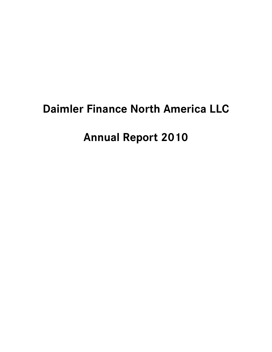# **Daimler Finance North America LLC**

**Annual Report 2010**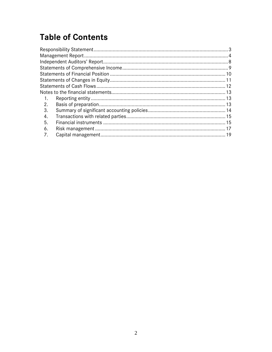## **Table of Contents**

| $\blacksquare$ 1. |  |
|-------------------|--|
| 2.                |  |
| 3.                |  |
| 4.                |  |
| 5.                |  |
| 6.                |  |
| 7.                |  |
|                   |  |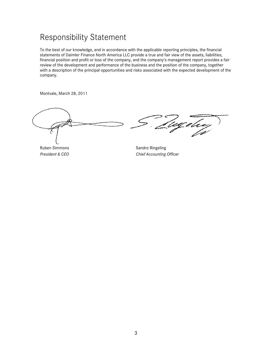## Responsibility Statement

To the best of our knowledge, and in accordance with the applicable reporting principles, the financial statements of Daimler Finance North America LLC provide a true and fair view of the assets, liabilities, financial position and profit or loss of the company, and the company's management report provides a fair review of the development and performance of the business and the position of the company, together with a description of the principal opportunities and risks associated with the expected development of the company.

Montvale, March 28, 2011

Ruben Simmons Sandro Ringeling

'ingelee

**President & CEO** Chief Accounting Officer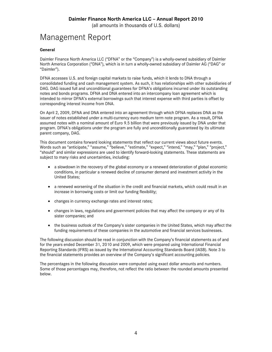## Management Report

### **General**

Daimler Finance North America LLC ("DFNA" or the "Company") is a wholly-owned subsidiary of Daimler North America Corporation ("DNA"), which is in turn a wholly-owned subsidiary of Daimler AG ("DAG" or "Daimler").

DFNA accesses U.S. and foreign capital markets to raise funds, which it lends to DNA through a consolidated funding and cash management system. As such, it has relationships with other subsidiaries of DAG. DAG issued full and unconditional guarantees for DFNA's obligations incurred under its outstanding notes and bonds programs. DFNA and DNA entered into an intercompany loan agreement which is intended to mirror DFNA's external borrowings such that interest expense with third parties is offset by corresponding interest income from DNA.

On April 2, 2009, DFNA and DNA entered into an agreement through which DFNA replaces DNA as the issuer of notes established under a multi-currency euro medium term note program. As a result, DFNA assumed notes with a nominal amount of Euro 9.5 billion that were previously issued by DNA under that program. DFNA's obligations under the program are fully and unconditionally guaranteed by its ultimate parent company, DAG.

This document contains forward looking statements that reflect our current views about future events. Words such as "anticipate," "assume," "believe," "estimate," "expect," "intend," "may," "plan," "project," "should" and similar expressions are used to identify forward-looking statements. These statements are subject to many risks and uncertainties, including:

- a slowdown in the recovery of the global economy or a renewed deterioration of global economic conditions, in particular a renewed decline of consumer demand and investment activity in the United States;
- a renewed worsening of the situation in the credit and financial markets, which could result in an increase in borrowing costs or limit our funding flexibility;
- changes in currency exchange rates and interest rates;
- changes in laws, regulations and government policies that may affect the company or any of its sister companies; and
- the business outlook of the Company's sister companies in the United States, which may affect the funding requirements of these companies in the automotive and financial services businesses.

The following discussion should be read in conjunction with the Company's financial statements as of and for the years ended December 31, 2010 and 2009, which were prepared using International Financial Reporting Standards (IFRS) as issued by the International Accounting Standards Board (IASB). Note 3 to the financial statements provides an overview of the Company's significant accounting policies.

The percentages in the following discussion were computed using exact dollar amounts and numbers. Some of those percentages may, therefore, not reflect the ratio between the rounded amounts presented below.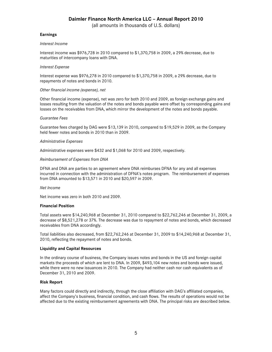(all amounts in thousands of U.S. dollars)

### **Earnings**

#### *Interest Income*

Interest income was \$976,728 in 2010 compared to \$1,370,758 in 2009, a 29% decrease, due to maturities of intercompany loans with DNA.

#### *Interest Expense*

Interest expense was \$976,278 in 2010 compared to \$1,370,758 in 2009, a 29% decrease, due to repayments of notes and bonds in 2010.

#### *Other financial income (expense), net*

Other financial income (expense), net was zero for both 2010 and 2009, as foreign exchange gains and losses resulting from the valuation of the notes and bonds payable were offset by corresponding gains and losses on the receivables from DNA, which mirror the development of the notes and bonds payable.

#### *Guarantee Fees*

Guarantee fees charged by DAG were \$13,139 in 2010, compared to \$19,529 in 2009, as the Company held fewer notes and bonds in 2010 than in 2009.

#### *Administrative Expenses*

Administrative expenses were \$432 and \$1,068 for 2010 and 2009, respectively.

#### *Reimbursement of Expenses from DNA*

DFNA and DNA are parties to an agreement where DNA reimburses DFNA for any and all expenses incurred in connection with the administration of DFNA's notes program. The reimbursement of expenses from DNA amounted to \$13,571 in 2010 and \$20,597 in 2009.

#### *Net Income*

Net income was zero in both 2010 and 2009.

#### **Financial Position**

Total assets were \$14,240,968 at December 31, 2010 compared to \$22,762,246 at December 31, 2009, a decrease of \$8,521,278 or 37%. The decrease was due to repayment of notes and bonds, which decreased receivables from DNA accordingly.

Total liabilities also decreased, from \$22,762,246 at December 31, 2009 to \$14,240,968 at December 31, 2010, reflecting the repayment of notes and bonds.

#### **Liquidity and Capital Resources**

In the ordinary course of business, the Company issues notes and bonds in the US and foreign capital markets the proceeds of which are lent to DNA. In 2009, \$493,104 new notes and bonds were issued, while there were no new issuances in 2010. The Company had neither cash nor cash equivalents as of December 31, 2010 and 2009.

#### **Risk Report**

Many factors could directly and indirectly, through the close affiliation with DAG's affiliated companies, affect the Company's business, financial condition, and cash flows. The results of operations would not be affected due to the existing reimbursement agreements with DNA. The principal risks are described below.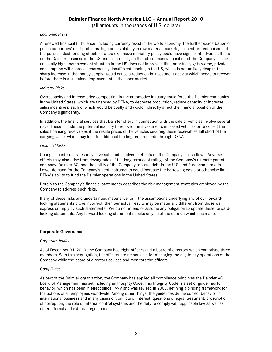(all amounts in thousands of U.S. dollars)

#### *Economic Risks*

A renewed financial turbulence (including currency risks) in the world economy, the further exacerbation of public authorities' debt problems, high price volatility in raw-material markets, nascent protectionism and the possible destabilizing effects of a too expansive monetary policy could have significant adverse effects on the Daimler business in the US and, as a result, on the future financial position of the Company. If the unusually high unemployment situation in the US does not improve a little or actually gets worse, private consumption will decrease enormously. Insufficient lending in the US, which is not unlikely despite the sharp increase in the money supply, would cause a reduction in investment activity which needs to recover before there is a sustained improvement in the labor market.

#### *Industry Risks*

Overcapacity and intense price competition in the automotive industry could force the Daimler companies in the United States, which are financed by DFNA, to decrease production, reduce capacity or increase sales incentives, each of which would be costly and would indirectly affect the financial position of the Company significantly.

In addition, the financial services that Daimler offers in connection with the sale of vehicles involve several risks. These include the potential inability to recover the investments in leased vehicles or to collect the sales financing receivables if the resale prices of the vehicles securing these receivables fall short of the carrying value, which may lead to additional funding requirements through DFNA.

#### *Financial Risks*

Changes in interest rates may have substantial adverse effects on the Company's cash flows. Adverse effects may also arise from downgrades of the long-term debt ratings of the Company's ultimate parent company, Daimler AG, and the ability of the Company to issue debt in the U.S. and European markets. Lower demand for the Company's debt instruments could increase the borrowing costs or otherwise limit DFNA's ability to fund the Daimler operations in the United States.

Note 6 to the Company's financial statements describes the risk management strategies employed by the Company to address such risks.

If any of these risks and uncertainties materialize, or if the assumptions underlying any of our forwardlooking statements prove incorrect, then our actual results may be materially different from those we express or imply by such statements. We do not intend or assume any obligation to update these forwardlooking statements. Any forward looking statement speaks only as of the date on which it is made.

#### **Corporate Governance**

#### *Corporate bodies*

As of December 31, 2010, the Company had eight officers and a board of directors which comprised three members. With this segregation, the officers are responsible for managing the day to day operations of the Company while the board of directors advises and monitors the officers.

#### *Compliance*

As part of the Daimler organization, the Company has applied all compliance principles the Daimler AG Board of Management has set including an Integrity Code. This Integrity Code is a set of guidelines for behavior, which has been in effect since 1999 and was revised in 2003, defining a binding framework for the actions of all employees worldwide. Among other things, the guidelines define correct behavior in international business and in any cases of conflicts of interest, questions of equal treatment, proscription of corruption, the role of internal control systems and the duty to comply with applicable law as well as other internal and external regulations.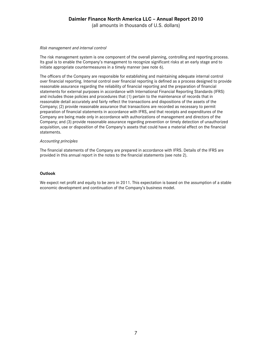(all amounts in thousands of U.S. dollars)

#### *Risk management and internal control*

The risk management system is one component of the overall planning, controlling and reporting process. Its goal is to enable the Company's management to recognize significant risks at an early stage and to initiate appropriate countermeasures in a timely manner (see note 6).

The officers of the Company are responsible for establishing and maintaining adequate internal control over financial reporting. Internal control over financial reporting is defined as a process designed to provide reasonable assurance regarding the reliability of financial reporting and the preparation of financial statements for external purposes in accordance with International Financial Reporting Standards (IFRS) and includes those policies and procedures that (1) pertain to the maintenance of records that in reasonable detail accurately and fairly reflect the transactions and dispositions of the assets of the Company; (2) provide reasonable assurance that transactions are recorded as necessary to permit preparation of financial statements in accordance with IFRS, and that receipts and expenditures of the Company are being made only in accordance with authorizations of management and directors of the Company; and (3) provide reasonable assurance regarding prevention or timely detection of unauthorized acquisition, use or disposition of the Company's assets that could have a material effect on the financial statements.

#### *Accounting principles*

The financial statements of the Company are prepared in accordance with IFRS. Details of the IFRS are provided in this annual report in the notes to the financial statements (see note 2).

#### **Outlook**

We expect net profit and equity to be zero in 2011. This expectation is based on the assumption of a stable economic development and continuation of the Company's business model.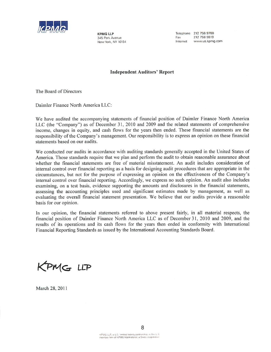

**KPMG LLP** 345 Park Avenue New York, NY 10154 Telephone 212 758 9700 212 758 9819 Fax www.us.kpmg.com Internet

### **Independent Auditors' Report**

The Board of Directors

Daimler Finance North America LLC:

We have audited the accompanying statements of financial position of Daimler Finance North America LLC (the "Company") as of December 31, 2010 and 2009 and the related statements of comprehensive income, changes in equity, and cash flows for the years then ended. These financial statements are the responsibility of the Company's management. Our responsibility is to express an opinion on these financial statements based on our audits.

We conducted our audits in accordance with auditing standards generally accepted in the United States of America. Those standards require that we plan and perform the audit to obtain reasonable assurance about whether the financial statements are free of material misstatement. An audit includes consideration of internal control over financial reporting as a basis for designing audit procedures that are appropriate in the circumstances, but not for the purpose of expressing an opinion on the effectiveness of the Company's internal control over financial reporting. Accordingly, we express no such opinion. An audit also includes examining, on a test basis, evidence supporting the amounts and disclosures in the financial statements, assessing the accounting principles used and significant estimates made by management, as well as evaluating the overall financial statement presentation. We believe that our audits provide a reasonable basis for our opinion.

In our opinion, the financial statements referred to above present fairly, in all material respects, the financial position of Daimler Finance North America LLC as of December 31, 2010 and 2009, and the results of its operations and its cash flows for the years then ended in conformity with International Financial Reporting Standards as issued by the International Accounting Standards Board.

KPMG LLP

March 28, 2011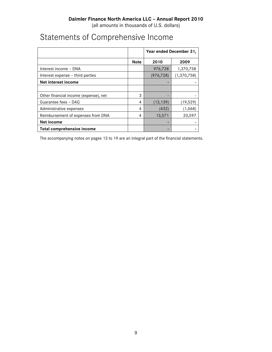## Statements of Comprehensive Income

|                                       |             | Year ended December 31, |               |  |
|---------------------------------------|-------------|-------------------------|---------------|--|
|                                       | <b>Note</b> | 2010                    | 2009          |  |
| Interest income - DNA                 |             | 976,728                 | 1,370,758     |  |
| Interest expense – third parties      |             | (976, 728)              | (1, 370, 758) |  |
| Net interest income                   |             |                         |               |  |
|                                       |             |                         |               |  |
| Other financial income (expense), net | 3           |                         |               |  |
| Guarantee fees - DAG                  | 4           | (13, 139)               | (19,529)      |  |
| Administrative expenses               | 4           | (432)                   | (1,068)       |  |
| Reimbursement of expenses from DNA    | 4           | 13,571                  | 20,597        |  |
| <b>Net income</b>                     |             |                         |               |  |
| <b>Total comprehensive income</b>     |             |                         |               |  |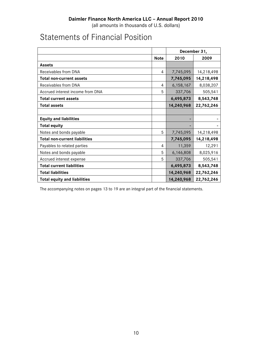## Statements of Financial Position

|                                      |                | December 31, |            |  |
|--------------------------------------|----------------|--------------|------------|--|
|                                      | <b>Note</b>    | 2010         | 2009       |  |
| Assets                               |                |              |            |  |
| Receivables from DNA                 | $\overline{4}$ | 7,745,095    | 14,218,498 |  |
| <b>Total non-current assets</b>      |                | 7,745,095    | 14,218,498 |  |
| Receivables from DNA                 | 4              | 6,158,167    | 8,038,207  |  |
| Accrued interest income from DNA     | 5              | 337,706      | 505,541    |  |
| <b>Total current assets</b>          |                | 6,495,873    | 8,543,748  |  |
| <b>Total assets</b>                  |                | 14,240,968   | 22,762,246 |  |
|                                      |                |              |            |  |
| <b>Equity and liabilities</b>        |                |              |            |  |
| <b>Total equity</b>                  |                |              |            |  |
| Notes and bonds payable              | 5              | 7,745,095    | 14,218,498 |  |
| <b>Total non-current liabilities</b> |                | 7,745,095    | 14,218,498 |  |
| Payables to related parties          | 4              | 11,359       | 12,291     |  |
| Notes and bonds payable              | 5              | 6,146,808    | 8,025,916  |  |
| Accrued interest expense             | 5              | 337,706      | 505,541    |  |
| <b>Total current liabilities</b>     |                | 6,495,873    | 8,543,748  |  |
| <b>Total liabilities</b>             |                | 14,240,968   | 22,762,246 |  |
| <b>Total equity and liabilities</b>  |                | 14,240,968   | 22,762,246 |  |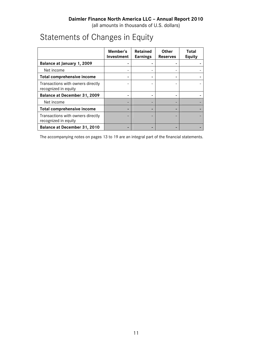(all amounts in thousands of U.S. dollars)

## Statements of Changes in Equity

|                                                           | Member's<br>Investment | <b>Retained</b><br><b>Earnings</b> | <b>Other</b><br><b>Reserves</b> | Total<br><b>Equity</b> |
|-----------------------------------------------------------|------------------------|------------------------------------|---------------------------------|------------------------|
| Balance at January 1, 2009                                |                        |                                    |                                 |                        |
| Net income                                                |                        |                                    |                                 |                        |
| <b>Total comprehensive income</b>                         |                        |                                    |                                 |                        |
| Transactions with owners directly<br>recognized in equity |                        |                                    |                                 |                        |
| Balance at December 31, 2009                              |                        |                                    |                                 |                        |
| Net income                                                |                        |                                    |                                 |                        |
| <b>Total comprehensive income</b>                         |                        |                                    |                                 |                        |
| Transactions with owners directly<br>recognized in equity |                        |                                    |                                 |                        |
| Balance at December 31, 2010                              |                        |                                    |                                 |                        |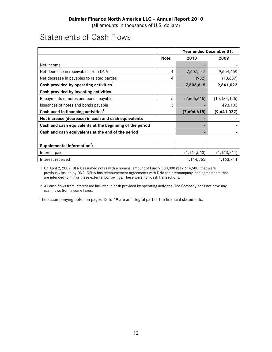(all amounts in thousands of U.S. dollars)

## Statements of Cash Flows

|                                                          |             | Year ended December 31, |                |  |
|----------------------------------------------------------|-------------|-------------------------|----------------|--|
|                                                          | <b>Note</b> | 2010                    | 2009           |  |
| Net income                                               |             |                         |                |  |
| Net decrease in receivables from DNA                     | 4           | 7,607,547               | 9,654,659      |  |
| Net decrease in payables to related parties              | 4           | (932)                   | (13, 637)      |  |
| Cash provided by operating activities <sup>1</sup>       |             | 7,606,615               | 9,641,022      |  |
| Cash provided by investing activities                    |             |                         |                |  |
| Repayments of notes and bonds payable                    | 5           | (7,606,615)             | (10, 134, 125) |  |
| Issuances of notes and bonds payable                     | 5           |                         | 493,103        |  |
| Cash used in financing activities <sup>1</sup>           |             | (7,606,615)             | (9,641,022)    |  |
| Net increase (decrease) in cash and cash equivalents     |             |                         |                |  |
| Cash and cash equivalents at the beginning of the period |             |                         |                |  |
| Cash and cash equivalents at the end of the period       |             |                         |                |  |
|                                                          |             |                         |                |  |
| Supplemental information <sup>2</sup> :                  |             |                         |                |  |
| Interest paid                                            |             | (1, 144, 563)           | (1, 163, 711)  |  |
| Interest received                                        |             | 1,144,563               | 1,163,711      |  |

1 On April 2, 2009, DFNA assumed notes with a nominal amount of Euro 9.500,000 (\$12,614,588) that were previously issued by DNA. DFNA has reimbursement agreements with DNA for intercompany loan agreements that are intended to mirror these external borrowings. These were non-cash transactions.

2 All cash flows from interest are included in cash provided by operating activities. The Company does not have any cash flows from income taxes.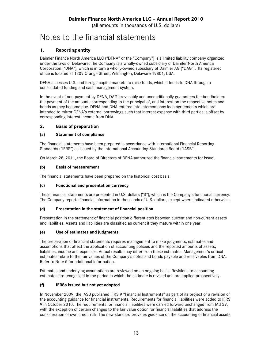## Notes to the financial statements

## **1. Reporting entity**

Daimler Finance North America LLC ("DFNA" or the "Company") is a limited liability company organized under the laws of Delaware. The Company is a wholly-owned subsidiary of Daimler North America Corporation ("DNA"), which is in turn a wholly-owned subsidiary of Daimler AG ("DAG"). Its registered office is located at 1209 Orange Street, Wilmington, Delaware 19801, USA.

DFNA accesses U.S. and foreign capital markets to raise funds, which it lends to DNA through a consolidated funding and cash management system.

In the event of non-payment by DFNA, DAG irrevocably and unconditionally guarantees the bondholders the payment of the amounts corresponding to the principal of, and interest on the respective notes and bonds as they become due. DFNA and DNA entered into intercompany loan agreements which are intended to mirror DFNA's external borrowings such that interest expense with third parties is offset by corresponding interest income from DNA.

## **2. Basis of preparation**

## **(a) Statement of compliance**

The financial statements have been prepared in accordance with International Financial Reporting Standards ("IFRS") as issued by the International Accounting Standards Board ("IASB").

On March 28, 2011, the Board of Directors of DFNA authorized the financial statements for issue.

## **(b) Basis of measurement**

The financial statements have been prepared on the historical cost basis.

## **(c) Functional and presentation currency**

These financial statements are presented in U.S. dollars ("\$"), which is the Company's functional currency. The Company reports financial information in thousands of U.S. dollars, except where indicated otherwise.

## **(d) Presentation in the statement of financial position**

Presentation in the statement of financial position differentiates between current and non-current assets and liabilities. Assets and liabilities are classified as current if they mature within one year.

## **(e) Use of estimates and judgments**

The preparation of financial statements requires management to make judgments, estimates and assumptions that affect the application of accounting policies and the reported amounts of assets, liabilities, income and expenses. Actual results may differ from these estimates. Management's critical estimates relate to the fair values of the Company's notes and bonds payable and receivables from DNA. Refer to Note 5 for additional information.

Estimates and underlying assumptions are reviewed on an ongoing basis. Revisions to accounting estimates are recognized in the period in which the estimate is revised and are applied prospectively.

## **(f) IFRSs issued but not yet adopted**

In November 2009, the IASB published IFRS 9 "Financial Instruments" as part of its project of a revision of the accounting guidance for financial instruments. Requirements for financial liabilities were added to IFRS 9 in October 2010. The requirements for financial liabilities were carried forward unchanged from IAS 39, with the exception of certain changes to the fair value option for financial liabilities that address the consideration of own credit risk. The new standard provides guidance on the accounting of financial assets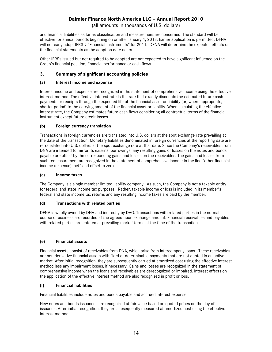(all amounts in thousands of U.S. dollars)

and financial liabilities as far as classification and measurement are concerned. The standard will be effective for annual periods beginning on or after January 1, 2013. Earlier application is permitted. DFNA will not early adopt IFRS 9 "Financial Instruments" for 2011. DFNA will determine the expected effects on the financial statements as the adoption date nears.

Other IFRSs issued but not required to be adopted are not expected to have significant influence on the Group's financial position, financial performance or cash flows.

## **3. Summary of significant accounting policies**

### **(a) Interest income and expense**

Interest income and expense are recognized in the statement of comprehensive income using the effective interest method. The effective interest rate is the rate that exactly discounts the estimated future cash payments or receipts through the expected life of the financial asset or liability (or, where appropriate, a shorter period) to the carrying amount of the financial asset or liability. When calculating the effective interest rate, the Company estimates future cash flows considering all contractual terms of the financial instrument except future credit losses.

### **(b) Foreign currency translation**

Transactions in foreign currencies are translated into U.S. dollars at the spot exchange rate prevailing at the date of the transaction. Monetary liabilities denominated in foreign currencies at the reporting date are retranslated into U.S. dollars at the spot exchange rate at that date. Since the Company's receivables from DNA are intended to mirror its external borrowings, any resulting gains or losses on the notes and bonds payable are offset by the corresponding gains and losses on the receivables. The gains and losses from such remeasurement are recognized in the statement of comprehensive income in the line "other financial income (expense), net" and offset to zero.

#### **(c) Income taxes**

The Company is a single member limited liability company. As such, the Company is not a taxable entity for federal and state income tax purposes. Rather, taxable income or loss is included in its member's federal and state income tax returns and any resulting income taxes are paid by the member.

### **(d) Transactions with related parties**

DFNA is wholly owned by DNA and indirectly by DAG. Transactions with related parties in the normal course of business are recorded at the agreed upon exchange amount. Financial receivables and payables with related parties are entered at prevailing market terms at the time of the transaction.

### **(e) Financial assets**

Financial assets consist of receivables from DNA, which arise from intercompany loans. These receivables are non-derivative financial assets with fixed or determinable payments that are not quoted in an active market. After initial recognition, they are subsequently carried at amortized cost using the effective interest method less any impairment losses, if necessary. Gains and losses are recognized in the statement of comprehensive income when the loans and receivables are derecognized or impaired. Interest effects on the application of the effective interest method are also recognized in profit or loss.

### **(f) Financial liabilities**

Financial liabilities include notes and bonds payable and accrued interest expense.

New notes and bonds issuances are recognized at fair value based on quoted prices on the day of issuance. After initial recognition, they are subsequently measured at amortized cost using the effective interest method.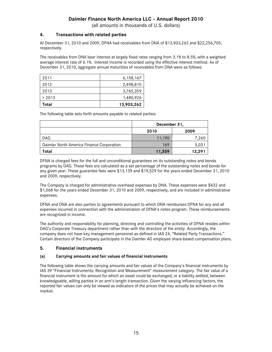(all amounts in thousands of U.S. dollars)

## **4. Transactions with related parties**

At December 31, 2010 and 2009, DFNA had receivables from DNA of \$13,903,262 and \$22,256,705, respectively.

The receivables from DNA bear interest at largely fixed rates ranging from 3.1% to 8.5%, with a weighted average interest rate of 6.1%. Interest income is recorded using the effective interest method. As of December 31, 2010, aggregate annual maturities of receivables from DNA were as follows:

| 2011   | 6,158,167  |
|--------|------------|
| 2012   | 2,498,810  |
| 2013   | 3,765,359  |
| > 2013 | 1,480,926  |
| Total  | 13,903,262 |

The following table sets forth amounts payable to related parties:

|                                           | December 31. |        |  |
|-------------------------------------------|--------------|--------|--|
|                                           | 2010         | 2009   |  |
| <b>DAG</b>                                | 11,190       | 7,260  |  |
| Daimler North America Finance Corporation | 169          | 5,031  |  |
| Total                                     | 11,359       | 12,291 |  |

DFNA is charged fees for the full and unconditional guarantees on its outstanding notes and bonds programs by DAG. These fees are calculated as a set percentage of the outstanding notes and bonds for any given year. These guarantee fees were \$13,139 and \$19,529 for the years ended December 31, 2010 and 2009, respectively.

The Company is charged for administrative overhead expenses by DNA. These expenses were \$432 and \$1,068 for the years ended December 31, 2010 and 2009, respectively, and are included in administrative expenses.

DFNA and DNA are also parties to agreements pursuant to which DNA reimburses DFNA for any and all expenses incurred in connection with the administration of DFNA's notes program. These reimbursements are recognized in income.

The authority and responsibility for planning, directing and controlling the activities of DFNA resides within DAG's Corporate Treasury department rather than with the directors of the entity. Accordingly, the company does not have key management personnel as defined in IAS 24, "Related Party Transactions." Certain directors of the Company participate in the Daimler AG employee share-based compensation plans.

## **5. Financial instruments**

### **(a) Carrying amounts and fair values of financial instruments**

The following table shows the carrying amounts and fair values of the Company's financial instruments by IAS 39 "Financial Instruments: Recognition and Measurement" measurement category. The fair value of a financial instrument is the amount for which an asset could be exchanged, or a liability settled, between knowledgeable, willing parties in an arm's length transaction. Given the varying influencing factors, the reported fair values can only be viewed as indicators of the prices that may actually be achieved on the market.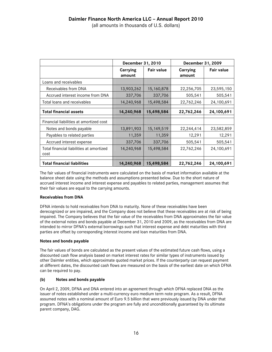|                                                  | December 31, 2010         |                   | December 31, 2009  |                   |  |
|--------------------------------------------------|---------------------------|-------------------|--------------------|-------------------|--|
|                                                  | <b>Carrying</b><br>amount | <b>Fair value</b> | Carrying<br>amount | <b>Fair value</b> |  |
| Loans and receivables                            |                           |                   |                    |                   |  |
| Receivables from DNA                             | 13,903,262                | 15,160,878        | 22,256,705         | 23,595,150        |  |
| Accrued interest income from DNA                 | 337,706                   | 337,706           | 505,541            | 505,541           |  |
| Total loans and receivables                      | 14,240,968                | 15,498,584        | 22,762,246         | 24,100,691        |  |
| <b>Total financial assets</b>                    | 14,240,968                | 15,498,584        | 22,762,246         | 24,100,691        |  |
| Financial liabilities at amortized cost          |                           |                   |                    |                   |  |
| Notes and bonds payable                          | 13,891,903                | 15, 149, 519      | 22,244,414         | 23,582,859        |  |
| Payables to related parties                      | 11,359                    | 11,359            | 12,291             | 12,291            |  |
| Accrued interest expense                         | 337,706                   | 337,706           | 505,541            | 505,541           |  |
| Total financial liabilities at amortized<br>cost | 14,240,968                | 15,498,584        | 22,762,246         | 24,100,691        |  |
| <b>Total financial liabilities</b>               | 14,240,968                | 15,498,584        | 22,762,246         | 24,100,691        |  |

The fair values of financial instruments were calculated on the basis of market information available at the balance sheet date using the methods and assumptions presented below. Due to the short nature of accrued interest income and interest expense and payables to related parties, management assumes that their fair values are equal to the carrying amounts.

## **Receivables from DNA**

DFNA intends to hold receivables from DNA to maturity. None of these receivables have been derecognized or are impaired, and the Company does not believe that these receivables are at risk of being impaired. The Company believes that the fair value of the receivables from DNA approximates the fair value of the external notes and bonds payable at December 31, 2010 and 2009, as the receivables from DNA are intended to mirror DFNA's external borrowings such that interest expense and debt maturities with third parties are offset by corresponding interest income and loan maturities from DNA.

## **Notes and bonds payable**

The fair values of bonds are calculated as the present values of the estimated future cash flows, using a discounted cash flow analysis based on market interest rates for similar types of instruments issued by other Daimler entities, which approximate quoted market prices. If the counterparty can request payment at different dates, the discounted cash flows are measured on the basis of the earliest date on which DFNA can be required to pay.

## **(b) Notes and bonds payable**

On April 2, 2009, DFNA and DNA entered into an agreement through which DFNA replaced DNA as the issuer of notes established under a multi-currency euro medium term note program. As a result, DFNA assumed notes with a nominal amount of Euro 9.5 billion that were previously issued by DNA under that program. DFNA's obligations under the program are fully and unconditionally guaranteed by its ultimate parent company, DAG.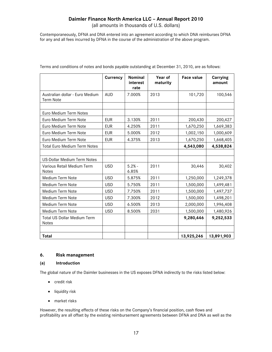(all amounts in thousands of U.S. dollars)

Contemporaneously, DFNA and DNA entered into an agreement according to which DNA reimburses DFNA for any and all fees incurred by DFNA in the course of the administration of the above program.

|                                                     | <b>Currency</b> | Nominal<br>interest<br>rate | Year of<br>maturity | <b>Face value</b> | <b>Carrying</b><br>amount |
|-----------------------------------------------------|-----------------|-----------------------------|---------------------|-------------------|---------------------------|
| Australian dollar - Euro Medium<br><b>Term Note</b> | <b>AUD</b>      | 7.000%                      | 2013                | 101,720           | 100,546                   |
| Euro Medium Term Notes                              |                 |                             |                     |                   |                           |
| Euro Medium Term Note                               | <b>EUR</b>      | 3.130%                      | 2011                | 200,430           | 200,427                   |
| Euro Medium Term Note                               | <b>EUR</b>      | 4.250%                      | 2011                | 1,670,250         | 1,669,383                 |
| Euro Medium Term Note                               | <b>EUR</b>      | 5.000%                      | 2012                | 1,002,150         | 1,000,609                 |
| Euro Medium Term Note                               | <b>EUR</b>      | 4.375%                      | 2013                | 1,670,250         | 1,668,405                 |
| <b>Total Euro Medium Term Notes</b>                 |                 |                             |                     | 4,543,080         | 4,538,824                 |
|                                                     |                 |                             |                     |                   |                           |
| <b>US-Dollar Medium Term Notes</b>                  |                 |                             |                     |                   |                           |
| Various Retail Medium Term<br><b>Notes</b>          | <b>USD</b>      | $5.2% -$<br>6.85%           | 2011                | 30,446            | 30,402                    |
| Medium Term Note                                    | <b>USD</b>      | 5.875%                      | 2011                | 1,250,000         | 1,249,378                 |
| Medium Term Note                                    | <b>USD</b>      | 5.750%                      | 2011                | 1,500,000         | 1,499,481                 |
| Medium Term Note                                    | <b>USD</b>      | 7.750%                      | 2011                | 1,500,000         | 1,497,737                 |
| Medium Term Note                                    | <b>USD</b>      | 7.300%                      | 2012                | 1,500,000         | 1,498,201                 |
| Medium Term Note                                    | <b>USD</b>      | 6.500%                      | 2013                | 2,000,000         | 1,996,408                 |
| Medium Term Note                                    | <b>USD</b>      | 8.500%                      | 2031                | 1,500,000         | 1,480,926                 |
| <b>Total US Dollar Medium Term</b><br><b>Notes</b>  |                 |                             |                     | 9,280,446         | 9,252,533                 |
| Total                                               |                 |                             |                     | 13,925,246        | 13,891,903                |

Terms and conditions of notes and bonds payable outstanding at December 31, 2010, are as follows:

## **6. Risk management**

### **(a) Introduction**

The global nature of the Daimler businesses in the US exposes DFNA indirectly to the risks listed below:

- credit risk
- liquidity risk
- market risks

However, the resulting effects of these risks on the Company's financial position, cash flows and profitability are all offset by the existing reimbursement agreements between DFNA and DNA as well as the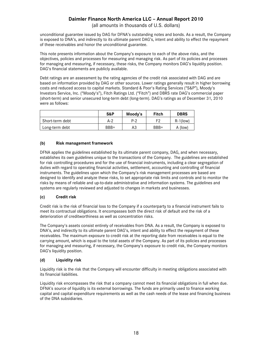(all amounts in thousands of U.S. dollars)

unconditional guarantee issued by DAG for DFNA's outstanding notes and bonds. As a result, the Company is exposed to DNA's, and indirectly to its ultimate parent DAG's, intent and ability to effect the repayment of these receivables and honor the unconditional guarantee.

This note presents information about the Company's exposure to each of the above risks, and the objectives, policies and processes for measuring and managing risk. As part of its policies and processes for managing and measuring, if necessary, these risks, the Company monitors DAG's liquidity position. DAG's financial statements are publicly available.

Debt ratings are an assessment by the rating agencies of the credit risk associated with DAG and are based on information provided by DAG or other sources. Lower ratings generally result in higher borrowing costs and reduced access to capital markets. Standard & Poor's Rating Services ("S&P"), Moody's Investors Service, Inc. ("Moody's"), Fitch Ratings Ltd. ("Fitch") and DBRS rate DAG's commercial paper (short-term) and senior unsecured long-term debt (long-term). DAG's ratings as of December 31, 2010 were as follows:

|                 | S&P  | Moody's | <b>Fitch</b> | <b>DBRS</b> |
|-----------------|------|---------|--------------|-------------|
| Short-term debt | A-2  | P-2     | F2           | $R-1$ (low) |
| Long-term debt  | BBB+ | A3      | BBB+         | (low)<br>A  |

## **(b) Risk management framework**

DFNA applies the guidelines established by its ultimate parent company, DAG, and when necessary, establishes its own guidelines unique to the transactions of the Company. The guidelines are established for risk controlling procedures and for the use of financial instruments, including a clear segregation of duties with regard to operating financial activities, settlement, accounting and controlling of financial instruments. The guidelines upon which the Company's risk management processes are based are designed to identify and analyze these risks, to set appropriate risk limits and controls and to monitor the risks by means of reliable and up-to-date administrative and information systems. The guidelines and systems are regularly reviewed and adjusted to changes in markets and businesses.

### **(c) Credit risk**

Credit risk is the risk of financial loss to the Company if a counterparty to a financial instrument fails to meet its contractual obligations. It encompasses both the direct risk of default and the risk of a deterioration of creditworthiness as well as concentration risks.

The Company's assets consist entirely of receivables from DNA. As a result, the Company is exposed to DNA's, and indirectly to its ultimate parent DAG's, intent and ability to effect the repayment of these receivables. The maximum exposure to credit risk at the reporting date from receivables is equal to the carrying amount, which is equal to the total assets of the Company. As part of its policies and processes for managing and measuring, if necessary, the Company's exposure to credit risk, the Company monitors DAG's liquidity position.

### **(d) Liquidity risk**

Liquidity risk is the risk that the Company will encounter difficulty in meeting obligations associated with its financial liabilities.

Liquidity risk encompasses the risk that a company cannot meet its financial obligations in full when due. DFNA's source of liquidity is its external borrowings. The funds are primarily used to finance working capital and capital expenditure requirements as well as the cash needs of the lease and financing business of the DNA subsidiaries.